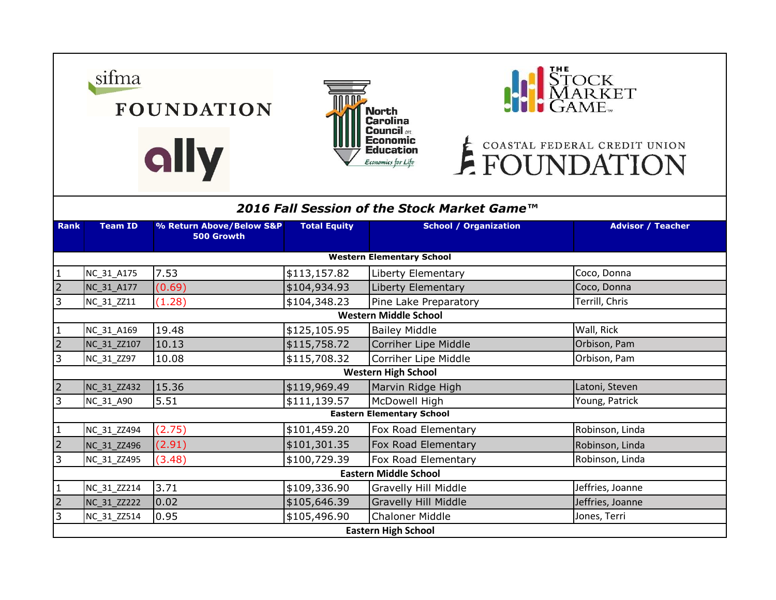|                                             | sifma                      | <b>FOUNDATION</b><br>ally              |                     | <b>North</b><br><b>Carolina</b><br><b>Council</b> on<br>Economic<br>Education<br>Economics for Life | STOCK<br>MARKET<br>GAME<br>E COASTAL FEDERAL CREDIT UNION |  |  |  |  |
|---------------------------------------------|----------------------------|----------------------------------------|---------------------|-----------------------------------------------------------------------------------------------------|-----------------------------------------------------------|--|--|--|--|
| 2016 Fall Session of the Stock Market Game™ |                            |                                        |                     |                                                                                                     |                                                           |  |  |  |  |
| <b>Rank</b>                                 | <b>Team ID</b>             | % Return Above/Below S&P<br>500 Growth | <b>Total Equity</b> | <b>School / Organization</b>                                                                        | <b>Advisor / Teacher</b>                                  |  |  |  |  |
| <b>Western Elementary School</b>            |                            |                                        |                     |                                                                                                     |                                                           |  |  |  |  |
| $\mathbf{1}$                                | NC 31 A175                 | 7.53                                   | \$113,157.82        | Liberty Elementary                                                                                  | Coco, Donna                                               |  |  |  |  |
| $\overline{2}$                              | NC_31_A177                 | (0.69)                                 | \$104,934.93        | Liberty Elementary                                                                                  | Coco, Donna                                               |  |  |  |  |
| 3                                           | NC 31 ZZ11                 | (1.28)                                 | \$104,348.23        | Pine Lake Preparatory                                                                               | Terrill, Chris                                            |  |  |  |  |
| <b>Western Middle School</b>                |                            |                                        |                     |                                                                                                     |                                                           |  |  |  |  |
| $\mathbf{1}$                                | NC_31_A169                 | 19.48                                  | \$125,105.95        | <b>Bailey Middle</b>                                                                                | Wall, Rick                                                |  |  |  |  |
| $\overline{2}$                              | NC 31 ZZ107                | 10.13                                  | \$115,758.72        | Corriher Lipe Middle                                                                                | Orbison, Pam                                              |  |  |  |  |
| 3                                           | NC_31_ZZ97                 | 10.08                                  | \$115,708.32        | Corriher Lipe Middle                                                                                | Orbison, Pam                                              |  |  |  |  |
| <b>Western High School</b>                  |                            |                                        |                     |                                                                                                     |                                                           |  |  |  |  |
| $\overline{2}$                              | NC 31 ZZ432                | 15.36                                  | \$119,969.49        | Marvin Ridge High                                                                                   | Latoni, Steven                                            |  |  |  |  |
| $\overline{3}$                              | NC_31_A90                  | 5.51                                   | \$111,139.57        | McDowell High                                                                                       | Young, Patrick                                            |  |  |  |  |
| <b>Eastern Elementary School</b>            |                            |                                        |                     |                                                                                                     |                                                           |  |  |  |  |
| $\mathbf{1}$                                | NC_31_ZZ494                | (2.75)                                 | \$101,459.20        | Fox Road Elementary                                                                                 | Robinson, Linda                                           |  |  |  |  |
| $\overline{2}$                              | NC 31 ZZ496                | (2.91)                                 | \$101,301.35        | Fox Road Elementary                                                                                 | Robinson, Linda                                           |  |  |  |  |
| 3                                           | NC 31 ZZ495                | (3.48)                                 | \$100,729.39        | Fox Road Elementary                                                                                 | Robinson, Linda                                           |  |  |  |  |
| <b>Eastern Middle School</b>                |                            |                                        |                     |                                                                                                     |                                                           |  |  |  |  |
| $\mathbf{1}$                                | NC_31_ZZ214                | 3.71                                   | \$109,336.90        | Gravelly Hill Middle                                                                                | Jeffries, Joanne                                          |  |  |  |  |
| $\overline{2}$                              | <b>NC 31 ZZ222</b>         | 0.02                                   | \$105,646.39        | <b>Gravelly Hill Middle</b>                                                                         | Jeffries, Joanne                                          |  |  |  |  |
| 3                                           | NC 31 ZZ514                | 0.95                                   | \$105,496.90        | <b>Chaloner Middle</b>                                                                              | Jones, Terri                                              |  |  |  |  |
|                                             | <b>Eastern High School</b> |                                        |                     |                                                                                                     |                                                           |  |  |  |  |